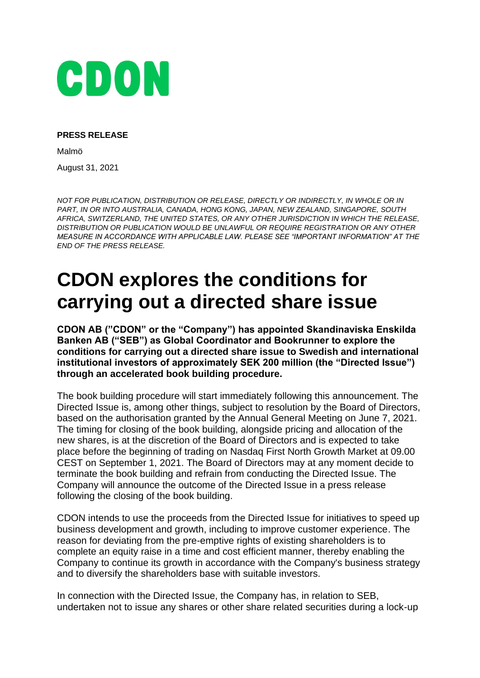

### **PRESS RELEASE**

Malmö

August 31, 2021

*NOT FOR PUBLICATION, DISTRIBUTION OR RELEASE, DIRECTLY OR INDIRECTLY, IN WHOLE OR IN PART, IN OR INTO AUSTRALIA, CANADA, HONG KONG, JAPAN, NEW ZEALAND, SINGAPORE, SOUTH AFRICA, SWITZERLAND, THE UNITED STATES, OR ANY OTHER JURISDICTION IN WHICH THE RELEASE, DISTRIBUTION OR PUBLICATION WOULD BE UNLAWFUL OR REQUIRE REGISTRATION OR ANY OTHER MEASURE IN ACCORDANCE WITH APPLICABLE LAW. PLEASE SEE "IMPORTANT INFORMATION" AT THE END OF THE PRESS RELEASE.*

# **CDON explores the conditions for carrying out a directed share issue**

**CDON AB ("CDON" or the "Company") has appointed Skandinaviska Enskilda Banken AB ("SEB") as Global Coordinator and Bookrunner to explore the conditions for carrying out a directed share issue to Swedish and international institutional investors of approximately SEK 200 million (the "Directed Issue") through an accelerated book building procedure.**

The book building procedure will start immediately following this announcement. The Directed Issue is, among other things, subject to resolution by the Board of Directors, based on the authorisation granted by the Annual General Meeting on June 7, 2021. The timing for closing of the book building, alongside pricing and allocation of the new shares, is at the discretion of the Board of Directors and is expected to take place before the beginning of trading on Nasdaq First North Growth Market at 09.00 CEST on September 1, 2021. The Board of Directors may at any moment decide to terminate the book building and refrain from conducting the Directed Issue. The Company will announce the outcome of the Directed Issue in a press release following the closing of the book building.

CDON intends to use the proceeds from the Directed Issue for initiatives to speed up business development and growth, including to improve customer experience. The reason for deviating from the pre-emptive rights of existing shareholders is to complete an equity raise in a time and cost efficient manner, thereby enabling the Company to continue its growth in accordance with the Company's business strategy and to diversify the shareholders base with suitable investors.

In connection with the Directed Issue, the Company has, in relation to SEB, undertaken not to issue any shares or other share related securities during a lock-up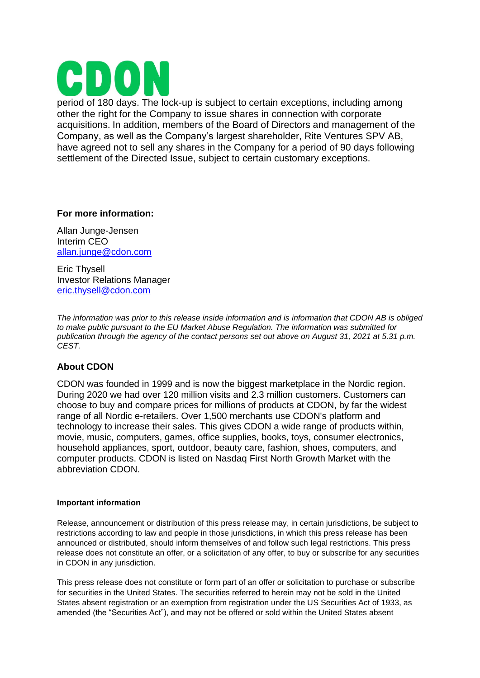

period of 180 days. The lock-up is subject to certain exceptions, including among other the right for the Company to issue shares in connection with corporate acquisitions. In addition, members of the Board of Directors and management of the Company, as well as the Company's largest shareholder, Rite Ventures SPV AB, have agreed not to sell any shares in the Company for a period of 90 days following settlement of the Directed Issue, subject to certain customary exceptions.

# **For more information:**

Allan Junge-Jensen Interim CEO [allan.junge@cdon.com](mailto:allan.junge@cdon.com)

Eric Thysell Investor Relations Manager [eric.thysell@cdon.com](mailto:eric.thysell@cdon.com)

*The information was prior to this release inside information and is information that CDON AB is obliged to make public pursuant to the EU Market Abuse Regulation. The information was submitted for publication through the agency of the contact persons set out above on August 31, 2021 at 5.31 p.m. CEST.*

# **About CDON**

CDON was founded in 1999 and is now the biggest marketplace in the Nordic region. During 2020 we had over 120 million visits and 2.3 million customers. Customers can choose to buy and compare prices for millions of products at CDON, by far the widest range of all Nordic e-retailers. Over 1,500 merchants use CDON's platform and technology to increase their sales. This gives CDON a wide range of products within, movie, music, computers, games, office supplies, books, toys, consumer electronics, household appliances, sport, outdoor, beauty care, fashion, shoes, computers, and computer products. CDON is listed on Nasdaq First North Growth Market with the abbreviation CDON.

#### **Important information**

Release, announcement or distribution of this press release may, in certain jurisdictions, be subject to restrictions according to law and people in those jurisdictions, in which this press release has been announced or distributed, should inform themselves of and follow such legal restrictions. This press release does not constitute an offer, or a solicitation of any offer, to buy or subscribe for any securities in CDON in any jurisdiction.

This press release does not constitute or form part of an offer or solicitation to purchase or subscribe for securities in the United States. The securities referred to herein may not be sold in the United States absent registration or an exemption from registration under the US Securities Act of 1933, as amended (the "Securities Act"), and may not be offered or sold within the United States absent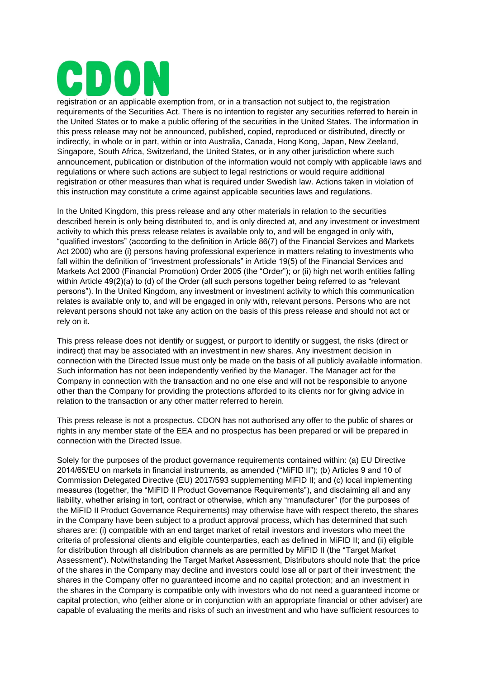registration or an applicable exemption from, or in a transaction not subject to, the registration requirements of the Securities Act. There is no intention to register any securities referred to herein in the United States or to make a public offering of the securities in the United States. The information in this press release may not be announced, published, copied, reproduced or distributed, directly or indirectly, in whole or in part, within or into Australia, Canada, Hong Kong, Japan, New Zeeland, Singapore, South Africa, Switzerland, the United States, or in any other jurisdiction where such announcement, publication or distribution of the information would not comply with applicable laws and regulations or where such actions are subject to legal restrictions or would require additional registration or other measures than what is required under Swedish law. Actions taken in violation of this instruction may constitute a crime against applicable securities laws and regulations.

In the United Kingdom, this press release and any other materials in relation to the securities described herein is only being distributed to, and is only directed at, and any investment or investment activity to which this press release relates is available only to, and will be engaged in only with, "qualified investors" (according to the definition in Article 86(7) of the Financial Services and Markets Act 2000) who are (i) persons having professional experience in matters relating to investments who fall within the definition of "investment professionals" in Article 19(5) of the Financial Services and Markets Act 2000 (Financial Promotion) Order 2005 (the "Order"); or (ii) high net worth entities falling within Article 49(2)(a) to (d) of the Order (all such persons together being referred to as "relevant persons"). In the United Kingdom, any investment or investment activity to which this communication relates is available only to, and will be engaged in only with, relevant persons. Persons who are not relevant persons should not take any action on the basis of this press release and should not act or rely on it.

This press release does not identify or suggest, or purport to identify or suggest, the risks (direct or indirect) that may be associated with an investment in new shares. Any investment decision in connection with the Directed Issue must only be made on the basis of all publicly available information. Such information has not been independently verified by the Manager. The Manager act for the Company in connection with the transaction and no one else and will not be responsible to anyone other than the Company for providing the protections afforded to its clients nor for giving advice in relation to the transaction or any other matter referred to herein.

This press release is not a prospectus. CDON has not authorised any offer to the public of shares or rights in any member state of the EEA and no prospectus has been prepared or will be prepared in connection with the Directed Issue.

Solely for the purposes of the product governance requirements contained within: (a) EU Directive 2014/65/EU on markets in financial instruments, as amended ("MiFID II"); (b) Articles 9 and 10 of Commission Delegated Directive (EU) 2017/593 supplementing MiFID II; and (c) local implementing measures (together, the "MiFID II Product Governance Requirements"), and disclaiming all and any liability, whether arising in tort, contract or otherwise, which any "manufacturer" (for the purposes of the MiFID II Product Governance Requirements) may otherwise have with respect thereto, the shares in the Company have been subject to a product approval process, which has determined that such shares are: (i) compatible with an end target market of retail investors and investors who meet the criteria of professional clients and eligible counterparties, each as defined in MiFID II; and (ii) eligible for distribution through all distribution channels as are permitted by MiFID II (the "Target Market Assessment"). Notwithstanding the Target Market Assessment, Distributors should note that: the price of the shares in the Company may decline and investors could lose all or part of their investment; the shares in the Company offer no guaranteed income and no capital protection; and an investment in the shares in the Company is compatible only with investors who do not need a guaranteed income or capital protection, who (either alone or in conjunction with an appropriate financial or other adviser) are capable of evaluating the merits and risks of such an investment and who have sufficient resources to